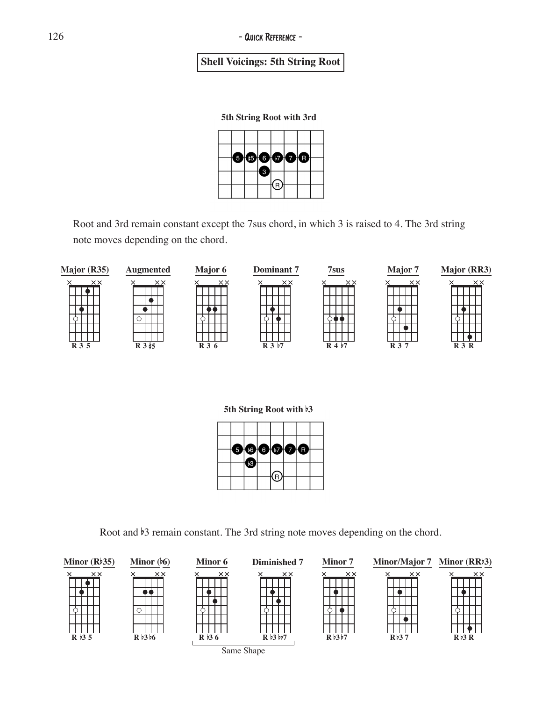## **Shell Voicings: 5th String Root**

**5th String Root with 3rd**



Root and 3rd remain constant except the 7sus chord, in which 3 is raised to 4. The 3rd string note moves depending on the chord.



**5th String Root with** b**3**



Root and  $\frac{1}{3}$  remain constant. The 3rd string note moves depending on the chord.